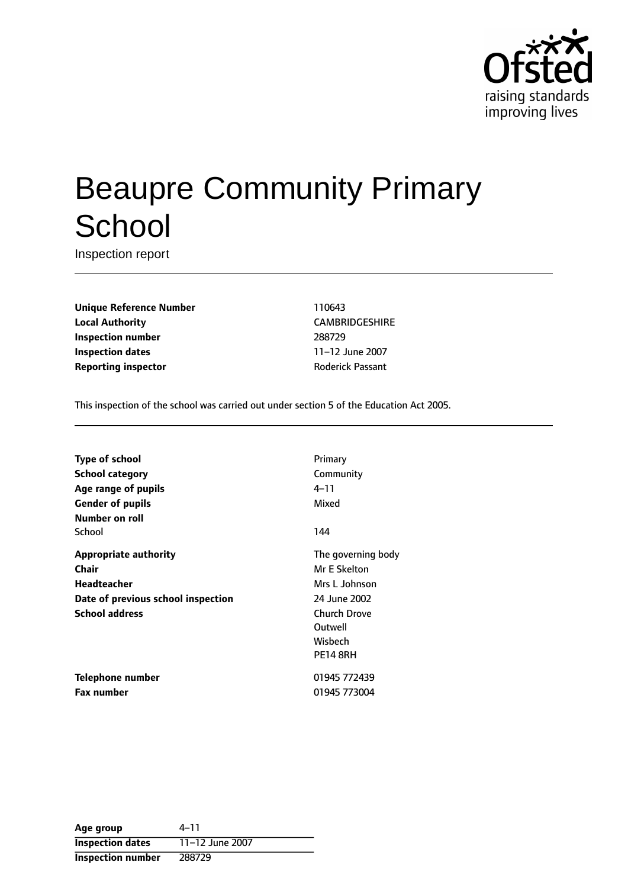

# Beaupre Community Primary **School**

Inspection report

**Unique Reference Number** 110643 **Local Authority** CAMBRIDGESHIRE **Inspection number** 288729 **Inspection dates** 11-12 June 2007 **Reporting inspector CONFIDENTIAL REPORTING REPORTING PASSANT** 

This inspection of the school was carried out under section 5 of the Education Act 2005.

| Primary            |
|--------------------|
| Community          |
| 4–11               |
| Mixed              |
|                    |
| 144                |
| The governing body |
| Mr E Skelton       |
| Mrs L Johnson      |
| 24 June 2002       |
| Church Drove       |
| Outwell            |
| Wisbech            |
| <b>PE14 8RH</b>    |
| 01945 772439       |
| 01945 773004       |
|                    |

| Age group                | $4 - 11$        |
|--------------------------|-----------------|
| <b>Inspection dates</b>  | 11-12 June 2007 |
| <b>Inspection number</b> | 288729          |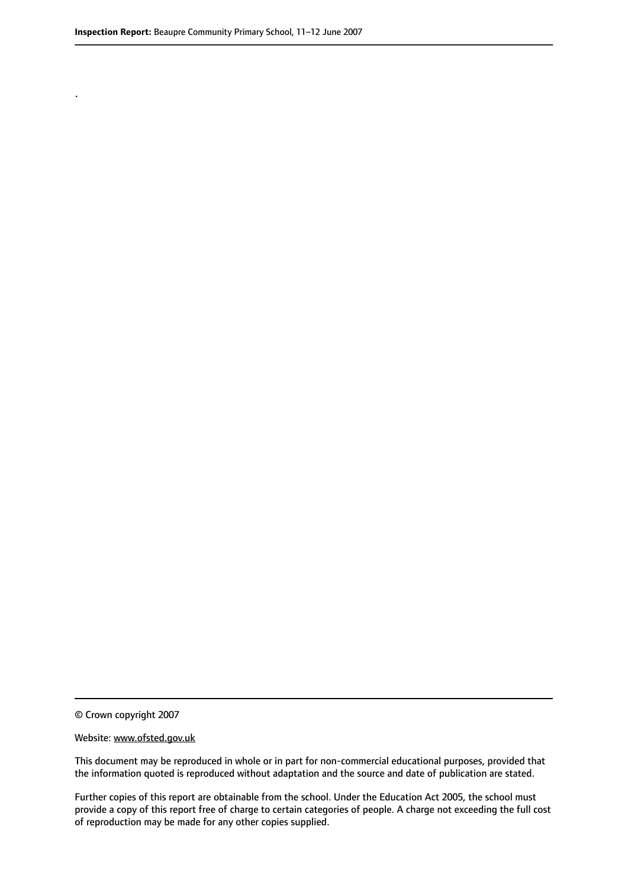.

© Crown copyright 2007

#### Website: www.ofsted.gov.uk

This document may be reproduced in whole or in part for non-commercial educational purposes, provided that the information quoted is reproduced without adaptation and the source and date of publication are stated.

Further copies of this report are obtainable from the school. Under the Education Act 2005, the school must provide a copy of this report free of charge to certain categories of people. A charge not exceeding the full cost of reproduction may be made for any other copies supplied.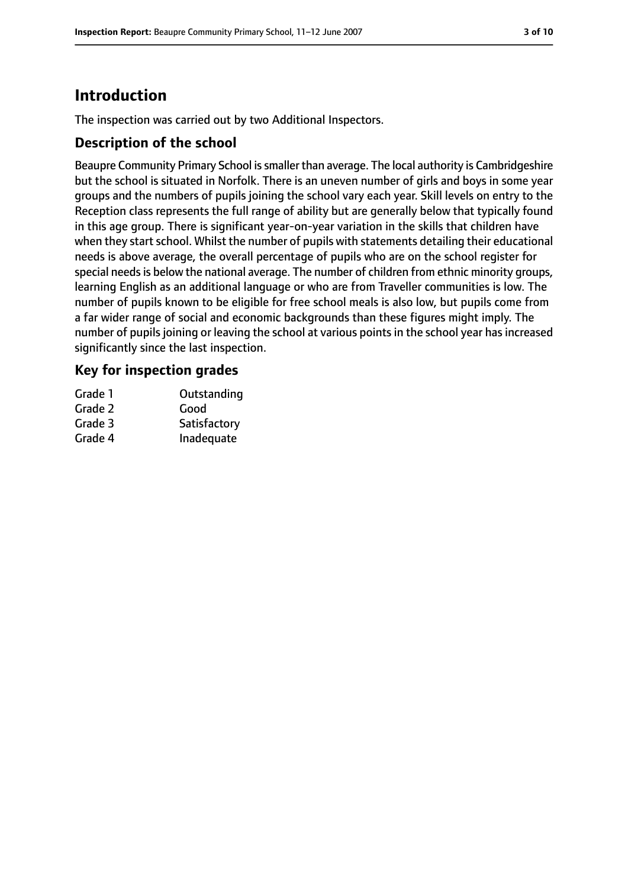# **Introduction**

The inspection was carried out by two Additional Inspectors.

#### **Description of the school**

Beaupre Community Primary School is smaller than average. The local authority is Cambridgeshire but the school is situated in Norfolk. There is an uneven number of girls and boys in some year groups and the numbers of pupils joining the school vary each year. Skill levels on entry to the Reception class represents the full range of ability but are generally below that typically found in this age group. There is significant year-on-year variation in the skills that children have when they start school. Whilst the number of pupils with statements detailing their educational needs is above average, the overall percentage of pupils who are on the school register for special needs is below the national average. The number of children from ethnic minority groups, learning English as an additional language or who are from Traveller communities is low. The number of pupils known to be eligible for free school meals is also low, but pupils come from a far wider range of social and economic backgrounds than these figures might imply. The number of pupils joining or leaving the school at various points in the school year has increased significantly since the last inspection.

#### **Key for inspection grades**

| Grade 1 | Outstanding  |
|---------|--------------|
| Grade 2 | Good         |
| Grade 3 | Satisfactory |
| Grade 4 | Inadequate   |
|         |              |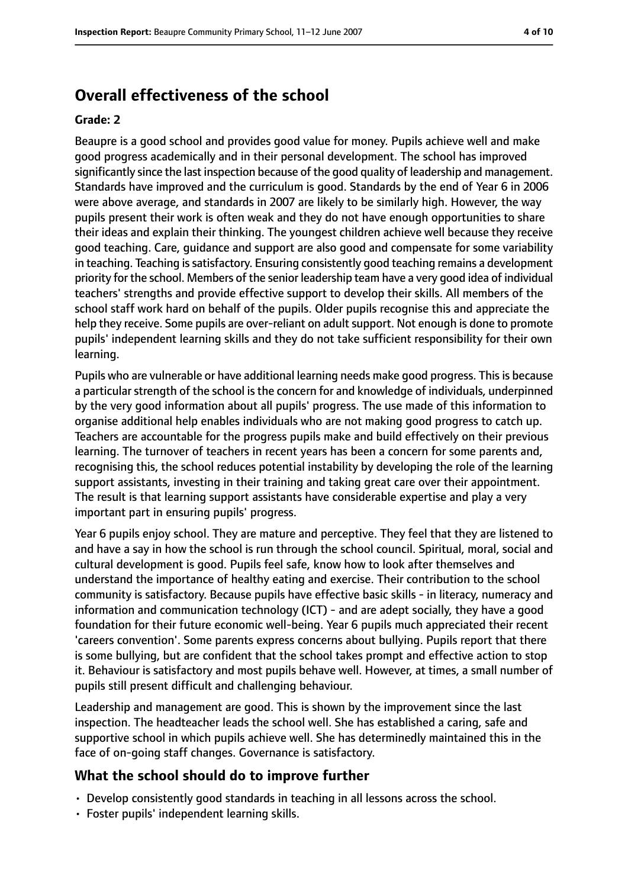## **Overall effectiveness of the school**

#### **Grade: 2**

Beaupre is a good school and provides good value for money. Pupils achieve well and make good progress academically and in their personal development. The school has improved significantly since the last inspection because of the good quality of leadership and management. Standards have improved and the curriculum is good. Standards by the end of Year 6 in 2006 were above average, and standards in 2007 are likely to be similarly high. However, the way pupils present their work is often weak and they do not have enough opportunities to share their ideas and explain their thinking. The youngest children achieve well because they receive good teaching. Care, guidance and support are also good and compensate for some variability in teaching. Teaching is satisfactory. Ensuring consistently good teaching remains a development priority for the school. Members of the senior leadership team have a very good idea of individual teachers' strengths and provide effective support to develop their skills. All members of the school staff work hard on behalf of the pupils. Older pupils recognise this and appreciate the help they receive. Some pupils are over-reliant on adult support. Not enough is done to promote pupils' independent learning skills and they do not take sufficient responsibility for their own learning.

Pupils who are vulnerable or have additional learning needs make good progress. Thisis because a particular strength of the school is the concern for and knowledge of individuals, underpinned by the very good information about all pupils' progress. The use made of this information to organise additional help enables individuals who are not making good progress to catch up. Teachers are accountable for the progress pupils make and build effectively on their previous learning. The turnover of teachers in recent years has been a concern for some parents and, recognising this, the school reduces potential instability by developing the role of the learning support assistants, investing in their training and taking great care over their appointment. The result is that learning support assistants have considerable expertise and play a very important part in ensuring pupils' progress.

Year 6 pupils enjoy school. They are mature and perceptive. They feel that they are listened to and have a say in how the school is run through the school council. Spiritual, moral, social and cultural development is good. Pupils feel safe, know how to look after themselves and understand the importance of healthy eating and exercise. Their contribution to the school community is satisfactory. Because pupils have effective basic skills - in literacy, numeracy and information and communication technology (ICT) - and are adept socially, they have a good foundation for their future economic well-being. Year 6 pupils much appreciated their recent 'careers convention'. Some parents express concerns about bullying. Pupils report that there is some bullying, but are confident that the school takes prompt and effective action to stop it. Behaviour is satisfactory and most pupils behave well. However, at times, a small number of pupils still present difficult and challenging behaviour.

Leadership and management are good. This is shown by the improvement since the last inspection. The headteacher leads the school well. She has established a caring, safe and supportive school in which pupils achieve well. She has determinedly maintained this in the face of on-going staff changes. Governance is satisfactory.

#### **What the school should do to improve further**

- Develop consistently good standards in teaching in all lessons across the school.
- Foster pupils' independent learning skills.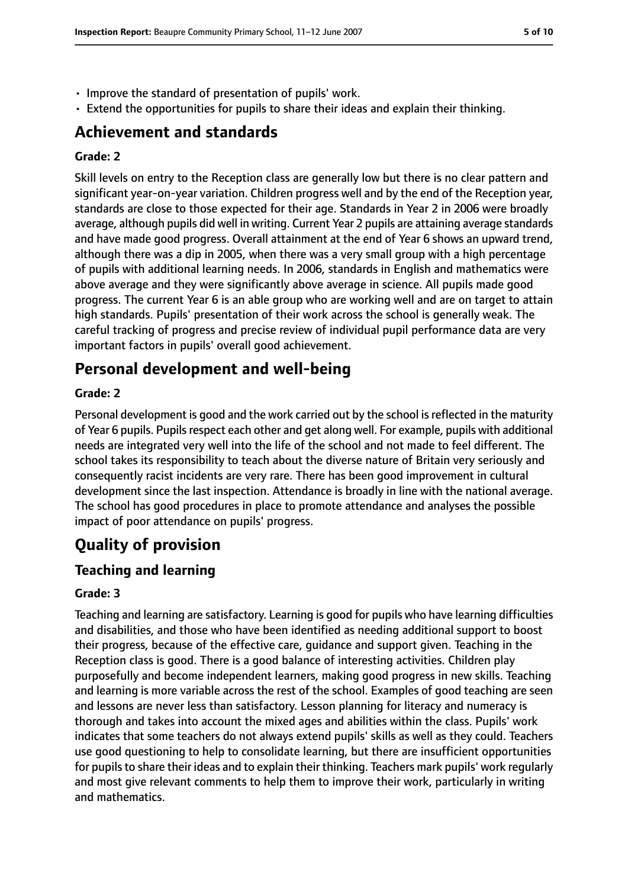- Improve the standard of presentation of pupils' work.
- Extend the opportunities for pupils to share their ideas and explain their thinking.

## **Achievement and standards**

#### **Grade: 2**

Skill levels on entry to the Reception class are generally low but there is no clear pattern and significant year-on-year variation. Children progress well and by the end of the Reception year, standards are close to those expected for their age. Standards in Year 2 in 2006 were broadly average, although pupils did well in writing. Current Year 2 pupils are attaining average standards and have made good progress. Overall attainment at the end of Year 6 shows an upward trend, although there was a dip in 2005, when there was a very small group with a high percentage of pupils with additional learning needs. In 2006, standards in English and mathematics were above average and they were significantly above average in science. All pupils made good progress. The current Year 6 is an able group who are working well and are on target to attain high standards. Pupils' presentation of their work across the school is generally weak. The careful tracking of progress and precise review of individual pupil performance data are very important factors in pupils' overall good achievement.

# **Personal development and well-being**

#### **Grade: 2**

Personal development is good and the work carried out by the school is reflected in the maturity of Year 6 pupils. Pupils respect each other and get along well. For example, pupils with additional needs are integrated very well into the life of the school and not made to feel different. The school takes its responsibility to teach about the diverse nature of Britain very seriously and consequently racist incidents are very rare. There has been good improvement in cultural development since the last inspection. Attendance is broadly in line with the national average. The school has good procedures in place to promote attendance and analyses the possible impact of poor attendance on pupils' progress.

# **Quality of provision**

## **Teaching and learning**

#### **Grade: 3**

Teaching and learning are satisfactory. Learning is good for pupils who have learning difficulties and disabilities, and those who have been identified as needing additional support to boost their progress, because of the effective care, guidance and support given. Teaching in the Reception class is good. There is a good balance of interesting activities. Children play purposefully and become independent learners, making good progress in new skills. Teaching and learning is more variable across the rest of the school. Examples of good teaching are seen and lessons are never less than satisfactory. Lesson planning for literacy and numeracy is thorough and takes into account the mixed ages and abilities within the class. Pupils' work indicates that some teachers do not always extend pupils' skills as well as they could. Teachers use good questioning to help to consolidate learning, but there are insufficient opportunities for pupils to share their ideas and to explain their thinking. Teachers mark pupils' work regularly and most give relevant comments to help them to improve their work, particularly in writing and mathematics.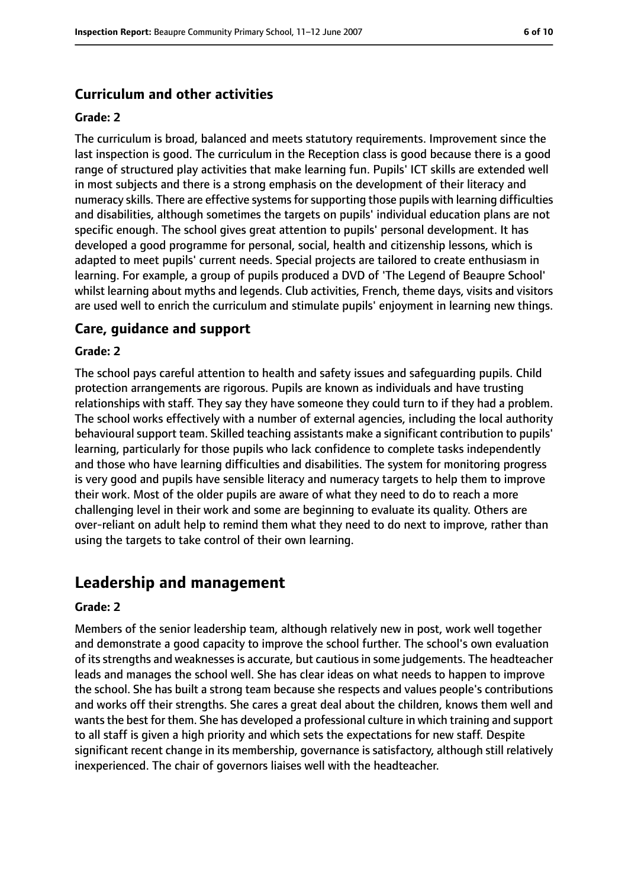## **Curriculum and other activities**

#### **Grade: 2**

The curriculum is broad, balanced and meets statutory requirements. Improvement since the last inspection is good. The curriculum in the Reception class is good because there is a good range of structured play activities that make learning fun. Pupils' ICT skills are extended well in most subjects and there is a strong emphasis on the development of their literacy and numeracy skills. There are effective systems for supporting those pupils with learning difficulties and disabilities, although sometimes the targets on pupils' individual education plans are not specific enough. The school gives great attention to pupils' personal development. It has developed a good programme for personal, social, health and citizenship lessons, which is adapted to meet pupils' current needs. Special projects are tailored to create enthusiasm in learning. For example, a group of pupils produced a DVD of 'The Legend of Beaupre School' whilst learning about myths and legends. Club activities, French, theme days, visits and visitors are used well to enrich the curriculum and stimulate pupils' enjoyment in learning new things.

#### **Care, guidance and support**

#### **Grade: 2**

The school pays careful attention to health and safety issues and safeguarding pupils. Child protection arrangements are rigorous. Pupils are known as individuals and have trusting relationships with staff. They say they have someone they could turn to if they had a problem. The school works effectively with a number of external agencies, including the local authority behavioural support team. Skilled teaching assistants make a significant contribution to pupils' learning, particularly for those pupils who lack confidence to complete tasks independently and those who have learning difficulties and disabilities. The system for monitoring progress is very good and pupils have sensible literacy and numeracy targets to help them to improve their work. Most of the older pupils are aware of what they need to do to reach a more challenging level in their work and some are beginning to evaluate its quality. Others are over-reliant on adult help to remind them what they need to do next to improve, rather than using the targets to take control of their own learning.

## **Leadership and management**

#### **Grade: 2**

Members of the senior leadership team, although relatively new in post, work well together and demonstrate a good capacity to improve the school further. The school's own evaluation of itsstrengths and weaknessesis accurate, but cautiousin some judgements. The headteacher leads and manages the school well. She has clear ideas on what needs to happen to improve the school. She has built a strong team because she respects and values people's contributions and works off their strengths. She cares a great deal about the children, knows them well and wants the best for them. She has developed a professional culture in which training and support to all staff is given a high priority and which sets the expectations for new staff. Despite significant recent change in its membership, governance is satisfactory, although still relatively inexperienced. The chair of governors liaises well with the headteacher.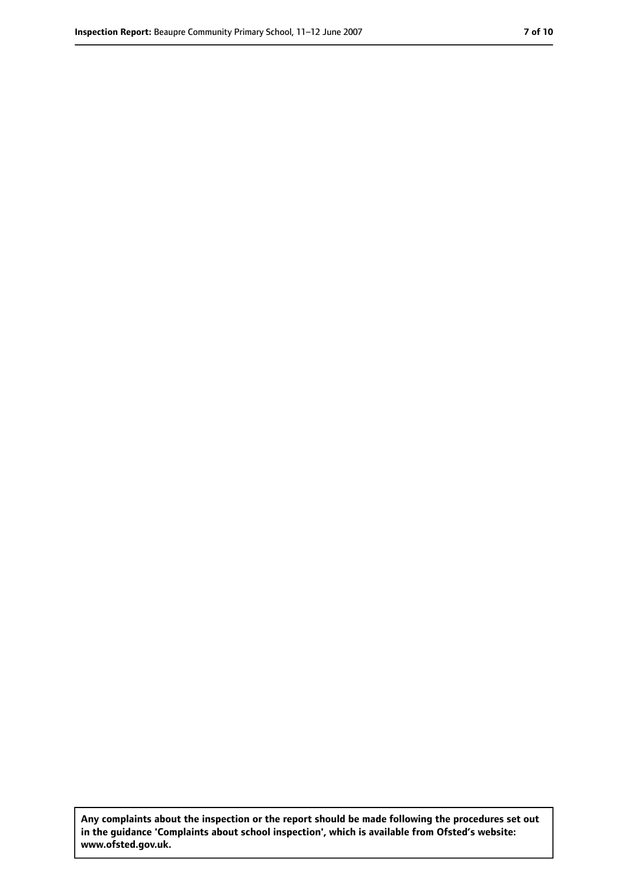**Any complaints about the inspection or the report should be made following the procedures set out in the guidance 'Complaints about school inspection', which is available from Ofsted's website: www.ofsted.gov.uk.**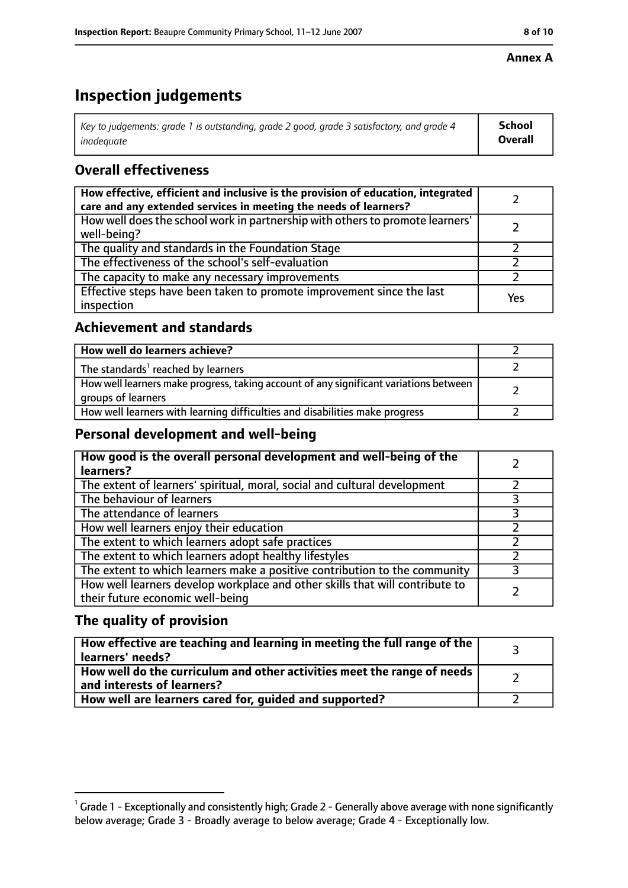#### **Annex A**

# **Inspection judgements**

| Key to judgements: grade 1 is outstanding, grade 2 good, grade 3 satisfactory, and grade 4 $\,$ | <b>School</b>  |
|-------------------------------------------------------------------------------------------------|----------------|
| inadequate                                                                                      | <b>Overall</b> |

## **Overall effectiveness**

| How effective, efficient and inclusive is the provision of education, integrated<br>care and any extended services in meeting the needs of learners? |     |
|------------------------------------------------------------------------------------------------------------------------------------------------------|-----|
| How well does the school work in partnership with others to promote learners'<br>well-being?                                                         |     |
| The quality and standards in the Foundation Stage                                                                                                    |     |
| The effectiveness of the school's self-evaluation                                                                                                    |     |
| The capacity to make any necessary improvements                                                                                                      |     |
| Effective steps have been taken to promote improvement since the last<br>inspection                                                                  | Yes |

## **Achievement and standards**

| How well do learners achieve?                                                                               |  |
|-------------------------------------------------------------------------------------------------------------|--|
| The standards <sup>1</sup> reached by learners                                                              |  |
| How well learners make progress, taking account of any significant variations between<br>groups of learners |  |
| How well learners with learning difficulties and disabilities make progress                                 |  |

## **Personal development and well-being**

| How good is the overall personal development and well-being of the<br>learners?                                  |  |
|------------------------------------------------------------------------------------------------------------------|--|
| The extent of learners' spiritual, moral, social and cultural development                                        |  |
| The behaviour of learners                                                                                        |  |
| The attendance of learners                                                                                       |  |
| How well learners enjoy their education                                                                          |  |
| The extent to which learners adopt safe practices                                                                |  |
| The extent to which learners adopt healthy lifestyles                                                            |  |
| The extent to which learners make a positive contribution to the community                                       |  |
| How well learners develop workplace and other skills that will contribute to<br>their future economic well-being |  |

## **The quality of provision**

| How effective are teaching and learning in meeting the full range of the<br>learners' needs?          |  |
|-------------------------------------------------------------------------------------------------------|--|
| How well do the curriculum and other activities meet the range of needs<br>and interests of learners? |  |
| How well are learners cared for, quided and supported?                                                |  |

 $^1$  Grade 1 - Exceptionally and consistently high; Grade 2 - Generally above average with none significantly below average; Grade 3 - Broadly average to below average; Grade 4 - Exceptionally low.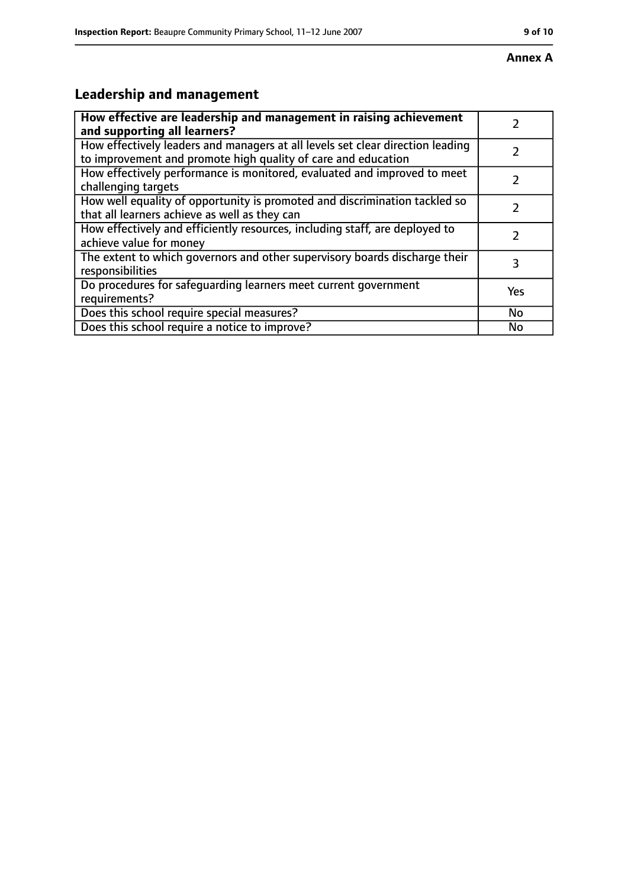#### **Annex A**

# **Leadership and management**

| How effective are leadership and management in raising achievement<br>and supporting all learners?                                              |     |
|-------------------------------------------------------------------------------------------------------------------------------------------------|-----|
| How effectively leaders and managers at all levels set clear direction leading<br>to improvement and promote high quality of care and education |     |
| How effectively performance is monitored, evaluated and improved to meet<br>challenging targets                                                 |     |
| How well equality of opportunity is promoted and discrimination tackled so<br>that all learners achieve as well as they can                     |     |
| How effectively and efficiently resources, including staff, are deployed to<br>achieve value for money                                          | 2   |
| The extent to which governors and other supervisory boards discharge their<br>responsibilities                                                  | 3   |
| Do procedures for safequarding learners meet current government<br>requirements?                                                                | Yes |
| Does this school require special measures?                                                                                                      | No  |
| Does this school require a notice to improve?                                                                                                   | No  |